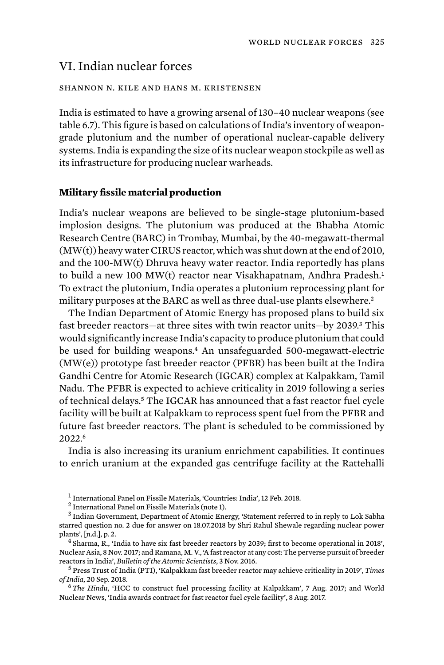# VI. Indian nuclear forces

### shannon n. kile and hans m. kristensen

India is estimated to have a growing arsenal of 130–40 nuclear weapons (see table 6.7). This figure is based on calculations of India's inventory of weapongrade plutonium and the number of operational nuclear-capable delivery systems. India is expanding the size of its nuclear weapon stockpile as well as its infrastructure for producing nuclear warheads.

### **Military fissile material production**

India's nuclear weapons are believed to be single-stage plutonium-based implosion designs. The plutonium was produced at the Bhabha Atomic Research Centre (BARC) in Trombay, Mumbai, by the 40-megawatt-thermal (MW(t)) heavy water CIRUS reactor, which was shut down at the end of 2010, and the 100-MW(t) Dhruva heavy water reactor. India reportedly has plans to build a new 100 MW(t) reactor near Visakhapatnam, Andhra Pradesh.<sup>1</sup> To extract the plutonium, India operates a plutonium reprocessing plant for military purposes at the BARC as well as three dual-use plants elsewhere. 2

The Indian Department of Atomic Energy has proposed plans to build six fast breeder reactors—at three sites with twin reactor units—by 2039.<sup>3</sup> This would significantly increase India's capacity to produce plutonium that could be used for building weapons.4 An unsafeguarded 500-megawatt-electric (MW(e)) prototype fast breeder reactor (PFBR) has been built at the Indira Gandhi Centre for Atomic Research (IGCAR) complex at Kalpakkam, Tamil Nadu. The PFBR is expected to achieve criticality in 2019 following a series of technical delays.5 The IGCAR has announced that a fast reactor fuel cycle facility will be built at Kalpakkam to reprocess spent fuel from the PFBR and future fast breeder reactors. The plant is scheduled to be commissioned by 2022.<sup>6</sup>

India is also increasing its uranium enrichment capabilities. It continues to enrich uranium at the expanded gas centrifuge facility at the Rattehalli

Nuclear Asia, 8 Nov. 2017; and Ramana, M. V., 'A fast reactor at any cost: The perverse pursuit of breeder reactors in India', Bulletin of the Atomic Scientists, 3 Nov. 2016.

 $^5$  Press Trust of India (PTI), 'Kalpakkam fast breeder reactor may achieve criticality in 2019', *Times of India*, 20 Sep. 2018.

<sup>6</sup> The Hindu, 'HCC to construct fuel processing facility at Kalpakkam', 7 Aug. 2017; and World Nuclear News, 'India awards contract for fast reactor fuel cycle facility', 8 Aug. 2017.

 $^1$  International Panel on Fissile Materials, 'Countries: India', 12 Feb. 2018.  $^2$  International Panel on Fissile Materials (note 1).

<sup>3</sup> Indian Government, Department of Atomic Energy, 'Statement referred to in reply to Lok Sabha starred question no. 2 due for answer on 18.07.2018 by Shri Rahul Shewale regarding nuclear power plants', [n.d.], p. 2. <sup>4</sup> Sharma, R., 'India to have six fast breeder reactors by 2039; first to become operational in 2018',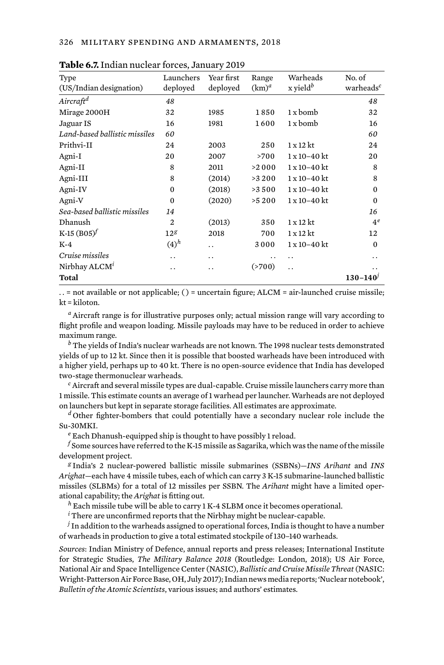| Type                          | Launchers       | Year first | Range    | Warheads               | No. of                |
|-------------------------------|-----------------|------------|----------|------------------------|-----------------------|
| (US/Indian designation)       | deployed        | deployed   | $(km)^a$ | $x$ yield <sup>b</sup> | warheads <sup>c</sup> |
| Aircraft <sup>d</sup>         | 48              |            |          |                        | 48                    |
| Mirage 2000H                  | 32              | 1985       | 1850     | 1 x bomb               | 32                    |
| Jaguar IS                     | 16              | 1981       | 1600     | 1 x bomb               | 16                    |
| Land-based ballistic missiles | 60              |            |          |                        | 60                    |
| Prithvi-II                    | 24              | 2003       | 250      | $1 \times 12$ kt       | 24                    |
| Agni-I                        | 20              | 2007       | >700     | 1 x 10-40 kt           | 20                    |
| Agni-II                       | 8               | 2011       | >2 0 0 0 | $1x10 - 40kt$          | 8                     |
| Agni-III                      | 8               | (2014)     | >3 2 0 0 | 1 x 10-40 kt           | 8                     |
| Agni-IV                       | 0               | (2018)     | >3500    | 1 x 10-40 kt           | $\Omega$              |
| Agni-V                        | $\bf{0}$        | (2020)     | >5200    | 1 x 10-40 kt           | $\Omega$              |
| Sea-based ballistic missiles  | 14              |            |          |                        | 16                    |
| Dhanush                       | $\overline{c}$  | (2013)     | 350      | $1 \times 12$ kt       | $4^e$                 |
| K-15 $(B05)^f$                | 12 <sup>g</sup> | 2018       | 700      | $1 \times 12$ kt       | 12                    |
| $K-4$                         | $(4)^h$         | . .        | 3000     | 1 x 10-40 kt           | $\Omega$              |
| Cruise missiles               | . .             | . .        | . .      | . .                    | . .                   |
| Nirbhay ALCM <sup>1</sup>     | . .             | . .        | ( > 700) | $\ddot{\phantom{0}}$   | . .                   |
| Total                         |                 |            |          |                        | $130 - 140'$          |
|                               |                 |            |          |                        |                       |

**Table 6.7.** Indian nuclear forces, January 2019

. . = not available or not applicable; ( ) = uncertain figure; ALCM = air-launched cruise missile; kt = kiloton.

*<sup>a</sup>* Aircraft range is for illustrative purposes only; actual mission range will vary according to flight profile and weapon loading. Missile payloads may have to be reduced in order to achieve maximum range.

*<sup>b</sup>* The yields of India's nuclear warheads are not known. The 1998 nuclear tests demonstrated yields of up to 12 kt. Since then it is possible that boosted warheads have been introduced with a higher yield, perhaps up to 40 kt. There is no open-source evidence that India has developed two-stage thermonuclear warheads.

*<sup>c</sup>* Aircraft and several missile types are dual-capable. Cruise missile launchers carry more than 1 missile. This estimate counts an average of 1 warhead per launcher. Warheads are not deployed on launchers but kept in separate storage facilities. All estimates are approximate.

*<sup>d</sup>* Other fighter-bombers that could potentially have a secondary nuclear role include the Su-30MKI.

*<sup>e</sup>* Each Dhanush-equipped ship is thought to have possibly 1 reload.

*<sup>f</sup>* Some sources have referred to the K-15 missile as Sagarika, which was the name of the missile development project.

*<sup>g</sup>* India's 2 nuclear-powered ballistic missile submarines (SSBNs)—*INS Arihant* and *INS Arighat*—each have 4 missile tubes, each of which can carry 3 K-15 submarine-launched ballistic missiles (SLBMs) for a total of 12 missiles per SSBN. The *Arihant* might have a limited operational capability; the *Arighat* is fitting out.

*<sup>h</sup>* Each missile tube will be able to carry 1 K-4 SLBM once it becomes operational.

*<sup>i</sup>* There are unconfirmed reports that the Nirbhay might be nuclear-capable.

*<sup>j</sup>* In addition to the warheads assigned to operational forces, India is thought to have a number of warheads in production to give a total estimated stockpile of 130–140 warheads.

*Sources*: Indian Ministry of Defence, annual reports and press releases; International Institute for Strategic Studies, *The Military Balance 2018* (Routledge: London, 2018); US Air Force, National Air and Space Intelligence Center (NASIC), *Ballistic and Cruise Missile Threat* (NASIC: Wright-Patterson Air Force Base, OH, July 2017); Indian news media reports; 'Nuclear notebook', *Bulletin of the Atomic Scientists*, various issues; and authors' estimates.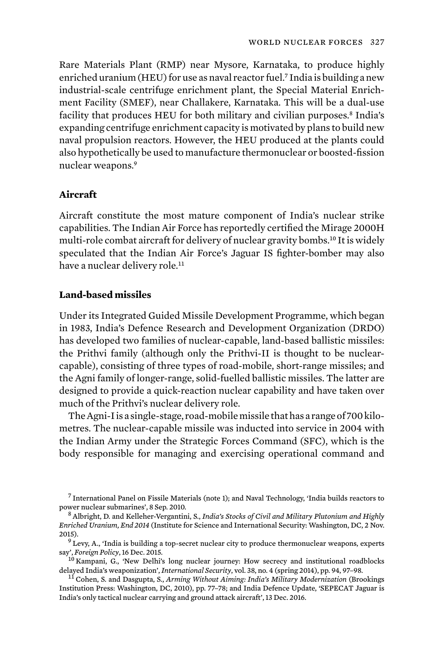Rare Materials Plant (RMP) near Mysore, Karnataka, to produce highly enriched uranium (HEU) for use as naval reactor fuel.<sup>7</sup> India is building a new industrial-scale centrifuge enrichment plant, the Special Material Enrichment Facility (SMEF), near Challakere, Karnataka. This will be a dual-use facility that produces HEU for both military and civilian purposes.<sup>8</sup> India's expanding centrifuge enrichment capacity is motivated by plans to build new naval propulsion reactors. However, the HEU produced at the plants could also hypothetically be used to manufacture thermonuclear or boosted-fission nuclear weapons.<sup>9</sup>

## **Aircraft**

Aircraft constitute the most mature component of India's nuclear strike capabilities. The Indian Air Force has reportedly certified the Mirage 2000H multi-role combat aircraft for delivery of nuclear gravity bombs.10 It is widely speculated that the Indian Air Force's Jaguar IS fighter-bomber may also have a nuclear delivery role.<sup>11</sup>

### **Land-based missiles**

Under its Integrated Guided Missile Development Programme, which began in 1983, India's Defence Research and Development Organization (DRDO) has developed two families of nuclear-capable, land-based ballistic missiles: the Prithvi family (although only the Prithvi-II is thought to be nuclearcapable), consisting of three types of road-mobile, short-range missiles; and the Agni family of longer-range, solid-fuelled ballistic missiles. The latter are designed to provide a quick-reaction nuclear capability and have taken over much of the Prithvi's nuclear delivery role.

The Agni-I is a single-stage, road-mobile missile that has a range of 700 kilometres. The nuclear-capable missile was inducted into service in 2004 with the Indian Army under the Strategic Forces Command (SFC), which is the body responsible for managing and exercising operational command and

 $^7$  International Panel on Fissile Materials (note 1); and Naval Technology, 'India builds reactors to power nuclear submarines', 8 Sep. 2010.

<sup>&</sup>lt;sup>8</sup> Albright, D. and Kelleher-Vergantini, S., *India's Stocks of Civil and Military Plutonium and Highly Enriched Uranium, End 2014* (Institute for Science and International Security: Washington, DC, 2 Nov. 2015).<br><sup>9</sup> Levy, A., 'India is building a top-secret nuclear city to produce thermonuclear weapons, experts

say', *Foreign Policy*, 16 Dec. 2015.<br><sup>10</sup> Kampani, G., 'New Delhi's long nuclear journey: How secrecy and institutional roadblocks delayed India's weaponization', *International Security*, vol. 38, no. 4 (spring 2014), pp

<sup>&</sup>lt;sup>11</sup> Cohen, S. and Dasgupta, S., Arming Without Aiming: India's Military Modernization (Brookings Institution Press: Washington, DC, 2010), pp. 77–78; and India Defence Update, 'SEPECAT Jaguar is India's only tactical nuclear carrying and ground attack aircraft', 13 Dec. 2016.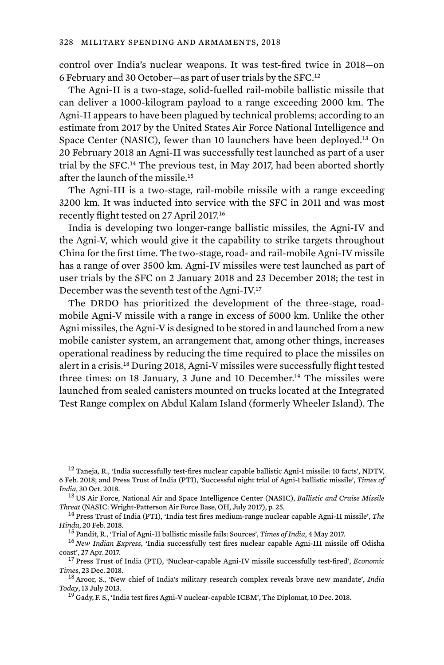control over India's nuclear weapons. It was test-fired twice in 2018—on 6 February and 30 October—as part of user trials by the SFC.<sup>12</sup>

The Agni-II is a two-stage, solid-fuelled rail-mobile ballistic missile that can deliver a 1000-kilogram payload to a range exceeding 2000 km. The Agni-II appears to have been plagued by technical problems; according to an estimate from 2017 by the United States Air Force National Intelligence and Space Center (NASIC), fewer than 10 launchers have been deployed.13 On 20 February 2018 an Agni-II was successfully test launched as part of a user trial by the SFC.14 The previous test, in May 2017, had been aborted shortly after the launch of the missile.<sup>15</sup>

The Agni-III is a two-stage, rail-mobile missile with a range exceeding 3200 km. It was inducted into service with the SFC in 2011 and was most recently flight tested on 27 April 2017.<sup>16</sup>

India is developing two longer-range ballistic missiles, the Agni-IV and the Agni-V, which would give it the capability to strike targets throughout China for the first time. The two-stage, road- and rail-mobile Agni-IV missile has a range of over 3500 km. Agni-IV missiles were test launched as part of user trials by the SFC on 2 January 2018 and 23 December 2018; the test in December was the seventh test of the Agni-IV.<sup>17</sup>

The DRDO has prioritized the development of the three-stage, roadmobile Agni-V missile with a range in excess of 5000 km. Unlike the other Agni missiles, the Agni-V is designed to be stored in and launched from a new mobile canister system, an arrangement that, among other things, increases operational readiness by reducing the time required to place the missiles on alert in a crisis.18 During 2018, Agni-V missiles were successfully flight tested three times: on 18 January, 3 June and 10 December.19 The missiles were launched from sealed canisters mounted on trucks located at the Integrated Test Range complex on Abdul Kalam Island (formerly Wheeler Island). The

<sup>12</sup> Taneja, R., 'India successfully test-fires nuclear capable ballistic Agni-1 missile: 10 facts', NDTV, 6 Feb. 2018; and Press Trust of India (PTI), 'Successful night trial of Agni-1 ballistic missile', *Times of India*, 30 Oct. 2018. <sup>13</sup> US Air Force, National Air and Space Intelligence Center (NASIC), *Ballistic and Cruise Missile* 

*Threat* (NASIC: Wright-Patterson Air Force Base, OH, July 2017), p. 25. <sup>14</sup> Press Trust of India (PTI), 'India test fires medium-range nuclear capable Agni-II missile', *The* 

Hindu, 20 Feb. 2018.<br><sup>15</sup> Pandit, R., 'Trial of Agni-II ballistic missile fails: Sources', *Times of India*, 4 May 2017.<br><sup>16</sup> New *Indian Express*, 'India successfully test fires nuclear capable Agni-III missile off Odisha

coast', 27 Apr. 2017. <sup>17</sup> Press Trust of India (PTI), 'Nuclear-capable Agni-IV missile successfully test-fired', *Economic* 

*Times*, 23 Dec. 2018.<br><sup>18</sup> Aroor, S., 'New chief of India's military research complex reveals brave new mandate', *India* 

*Today*, 13 July 2013. <sup>19</sup> Gady, F. S., 'India test fires Agni-V nuclear-capable ICBM', The Diplomat, 10 Dec. 2018.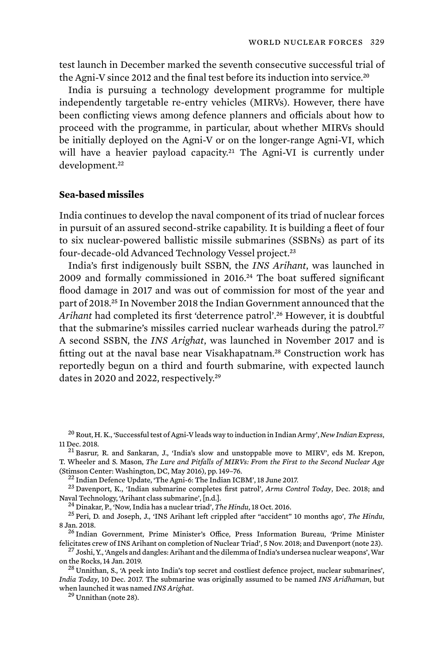test launch in December marked the seventh consecutive successful trial of the Agni-V since 2012 and the final test before its induction into service. 20

India is pursuing a technology development programme for multiple independently targetable re-entry vehicles (MIRVs). However, there have been conflicting views among defence planners and officials about how to proceed with the programme, in particular, about whether MIRVs should be initially deployed on the Agni-V or on the longer-range Agni-VI, which will have a heavier payload capacity.<sup>21</sup> The Agni-VI is currently under development.<sup>22</sup>

#### **Sea-based missiles**

India continues to develop the naval component of its triad of nuclear forces in pursuit of an assured second-strike capability. It is building a fleet of four to six nuclear-powered ballistic missile submarines (SSBNs) as part of its four-decade-old Advanced Technology Vessel project.<sup>23</sup>

India's first indigenously built SSBN, the *INS Arihant*, was launched in 2009 and formally commissioned in 2016.24 The boat suffered significant flood damage in 2017 and was out of commission for most of the year and part of 2018.25 In November 2018 the Indian Government announced that the *Arihant* had completed its first 'deterrence patrol'.26 However, it is doubtful that the submarine's missiles carried nuclear warheads during the patrol.<sup>27</sup> A second SSBN, the *INS Arighat*, was launched in November 2017 and is fitting out at the naval base near Visakhapatnam.<sup>28</sup> Construction work has reportedly begun on a third and fourth submarine, with expected launch dates in 2020 and 2022, respectively.<sup>29</sup>

<sup>20</sup> Rout, H. K., 'Successful test of Agni-V leads way to induction in Indian Army', *New Indian Express*, 11 Dec. 2018. 2018. 21 Basrur, R. and Sankaran, J., 'India's slow and unstoppable move to MIRV', eds M. Krepon,

T. Wheeler and S. Mason, *The Lure and Pitfalls of MIRVs: From the First to the Second Nuclear Age*

<sup>22</sup> Indian Defence Update, 'The Agni-6: The Indian ICBM', 18 June 2017.<br><sup>23</sup> Davenport, K., 'Indian submarine completes first patrol', *Arms Control Today*, Dec. 2018; and<br>Naval Technology, 'Arihant class submarine', [n.

<sup>24</sup> Dinakar, P., Now, India has a nuclear triad', *The Hindu*, 18 Oct. 2016.<br><sup>25</sup> Peri, D. and Joseph, J., 'INS Arihant left crippled after "accident" 10 months ago', *The Hindu*, 8 Jan. 2018. <sup>26</sup> Indian Government, Prime Minister's Office, Press Information Bureau, 'Prime Minister

felicitates crew of INS Arihant on completion of Nuclear Triad', 5 Nov. 2018; and Davenport (note 23).<br><sup>27</sup> Joshi, Y., 'Angels and dangles: Arihant and the dilemma of India's undersea nuclear weapons', War<br>on the Rocks. 1

<sup>28</sup> Unnithan, S., 'A peek into India's top secret and costliest defence project, nuclear submarines', *India Today*, 10 Dec. 2017. The submarine was originally assumed to be named *INS Aridhaman*, but when launched it was named *INS Arighat*. <sup>29</sup> Unnithan (note 28).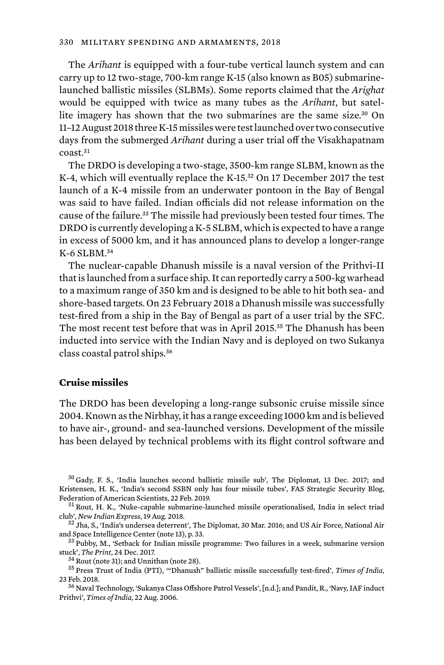The *Arihant* is equipped with a four-tube vertical launch system and can carry up to 12 two-stage, 700-km range K-15 (also known as B05) submarinelaunched ballistic missiles (SLBMs). Some reports claimed that the *Arighat*  would be equipped with twice as many tubes as the *Arihant*, but satellite imagery has shown that the two submarines are the same size.<sup>30</sup> On 11–12 August 2018 three K-15 missiles were test launched over two consecutive days from the submerged *Arihant* during a user trial off the Visakhapatnam coast.<sup>31</sup>

The DRDO is developing a two-stage, 3500-km range SLBM, known as the K-4, which will eventually replace the K-15.<sup>32</sup> On 17 December 2017 the test launch of a K-4 missile from an underwater pontoon in the Bay of Bengal was said to have failed. Indian officials did not release information on the cause of the failure.<sup>33</sup> The missile had previously been tested four times. The DRDO is currently developing a K-5 SLBM, which is expected to have a range in excess of 5000 km, and it has announced plans to develop a longer-range K-6 SLBM.<sup>34</sup>

The nuclear-capable Dhanush missile is a naval version of the Prithvi-II that is launched from a surface ship. It can reportedly carry a 500-kg warhead to a maximum range of 350 km and is designed to be able to hit both sea- and shore-based targets. On 23 February 2018 a Dhanush missile was successfully test-fired from a ship in the Bay of Bengal as part of a user trial by the SFC. The most recent test before that was in April 2015.<sup>35</sup> The Dhanush has been inducted into service with the Indian Navy and is deployed on two Sukanya class coastal patrol ships.<sup>36</sup>

### **Cruise missiles**

The DRDO has been developing a long-range subsonic cruise missile since 2004. Known as the Nirbhay, it has a range exceeding 1000 km and is believed to have air-, ground- and sea-launched versions. Development of the missile has been delayed by technical problems with its flight control software and

<sup>30</sup> Gady, F. S., 'India launches second ballistic missile sub', The Diplomat, 13 Dec. 2017; and Kristensen, H. K., 'India's second SSBN only has four missile tubes', FAS Strategic Security Blog,<br>Federation of American Scientists, 22 Feb. 2019.

 $31$  Rout, H. K., 'Nuke-capable submarine-launched missile operationalised, India in select triad club', *New Indian Express*, 19 Aug. 2018. <sup>32</sup> Jha, S., 'India's undersea deterrent', The Diplomat, 30 Mar. 2016; and US Air Force, National Air

and Space Intelligence Center (note 13), p. 33.<br> $33$  Pubby, M., 'Setback for Indian missile programme: Two failures in a week, submarine version

stuck', *The Print*, 24 Dec. 2017. <sup>34</sup> Rout (note 31); and Unnithan (note 28). <sup>35</sup> Press Trust of India (PTI), '"Dhanush" ballistic missile successfully test-fired', *Times of India*,

23 Feb. 2018.<br><sup>36</sup> Naval Technology, 'Sukanya Class Offshore Patrol Vessels', [n.d.]; and Pandit, R., 'Navy, IAF induct

Prithvi', *Times of India*, 22 Aug. 2006.